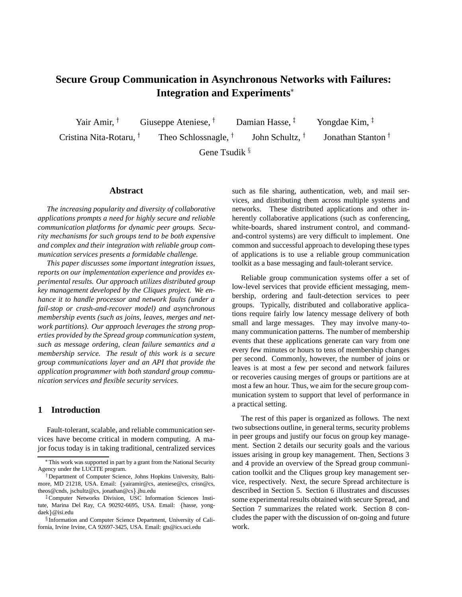# **Secure Group Communication in Asynchronous Networks with Failures: Integration and Experiments**

Yair Amir.<sup>†</sup> Giuseppe Ateniese,  $\dagger$ 

Cristina Nita-Rotaru,  $^{\dagger}$ 

Theo Schlossnagle, <sup>†</sup>

Damian Hasse,  $*$ John Schultz,  $\dagger$  Yongdae Kim,  $^{\ddagger}$ 

Jonathan Stanton<sup>†</sup>

Gene Tsudik  $\frac{8}{3}$ 

#### **Abstract**

*The increasing popularity and diversity of collaborative applications prompts a need for highly secure and reliable communication platforms for dynamic peer groups. Security mechanisms for such groups tend to be both expensive and complex and their integration with reliable group communication services presents a formidable challenge.*

*This paper discusses some important integration issues, reports on our implementation experience and provides experimental results. Our approach utilizes distributed group key management developed by the Cliques project. We enhance it to handle processor and network faults (under a fail-stop or crash-and-recover model) and asynchronous membership events (such as joins, leaves, merges and network partitions). Our approach leverages the strong properties provided by the Spread group communication system, such as message ordering, clean failure semantics and a membership service. The result of this work is a secure group communications layer and an API that provide the application programmer with both standard group communication services and flexible security services.*

## **1 Introduction**

Fault-tolerant, scalable, and reliable communication services have become critical in modern computing. A major focus today is in taking traditional, centralized services such as file sharing, authentication, web, and mail services, and distributing them across multiple systems and networks. These distributed applications and other inherently collaborative applications (such as conferencing, white-boards, shared instrument control, and commandand-control systems) are very difficult to implement. One common and successful approach to developing these types of applications is to use a reliable group communication toolkit as a base messaging and fault-tolerant service.

Reliable group communication systems offer a set of low-level services that provide efficient messaging, membership, ordering and fault-detection services to peer groups. Typically, distributed and collaborative applications require fairly low latency message delivery of both small and large messages. They may involve many-tomany communication patterns. The number of membership events that these applications generate can vary from one every few minutes or hours to tens of membership changes per second. Commonly, however, the number of joins or leaves is at most a few per second and network failures or recoveries causing merges of groups or partitions are at most a few an hour. Thus, we aim for the secure group communication system to support that level of performance in a practical setting.

The rest of this paper is organized as follows. The next two subsections outline, in general terms, security problems in peer groups and justify our focus on group key management. Section 2 details our security goals and the various issues arising in group key management. Then, Sections 3 and 4 provide an overview of the Spread group communication toolkit and the Cliques group key management service, respectively. Next, the secure Spread architecture is described in Section 5. Section 6 illustrates and discusses some experimental results obtained with secure Spread, and Section 7 summarizes the related work. Section 8 concludes the paper with the discussion of on-going and future work.

This work was supported in part by a grant from the National Security Agency under the LUCITE program.

<sup>&</sup>lt;sup>†</sup> Department of Computer Science, Johns Hopkins University, Baltimore, MD 21218, USA. Email: fyairamir@cs, ateniese@cs, crisn@cs, theos@cnds, jschultz@cs, jonathan@cs}.jhu.edu

<sup>z</sup> Computer Networks Division, USC Information Sciences Institute, Marina Del Ray, CA 90292-6695, USA. Email: fhasse, yong- $\text{daek}$  @ isi.edu

<sup>&</sup>lt;sup>§</sup> Information and Computer Science Department, University of California, Irvine Irvine, CA 92697-3425, USA. Email: gts@ics.uci.edu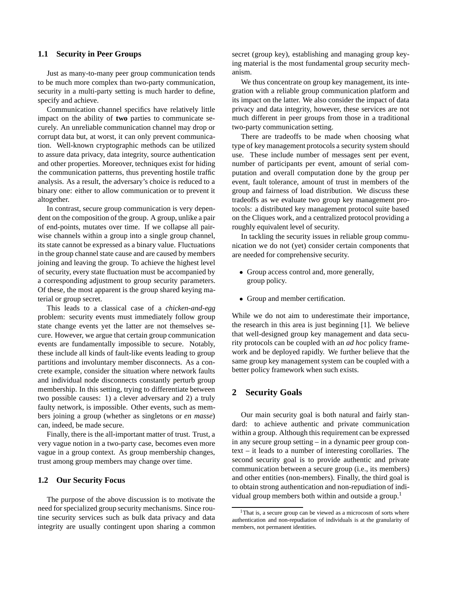## **1.1 Security in Peer Groups**

Just as many-to-many peer group communication tends to be much more complex than two-party communication, security in a multi-party setting is much harder to define, specify and achieve.

Communication channel specifics have relatively little impact on the ability of **two** parties to communicate securely. An unreliable communication channel may drop or corrupt data but, at worst, it can only prevent communication. Well-known cryptographic methods can be utilized to assure data privacy, data integrity, source authentication and other properties. Moreover, techniques exist for hiding the communication patterns, thus preventing hostile traffic analysis. As a result, the adversary's choice is reduced to a binary one: either to allow communication or to prevent it altogether.

In contrast, secure group communication is very dependent on the composition of the group. A group, unlike a pair of end-points, mutates over time. If we collapse all pairwise channels within a group into a single group channel, its state cannot be expressed as a binary value. Fluctuations in the group channel state cause and are caused by members joining and leaving the group. To achieve the highest level of security, every state fluctuation must be accompanied by a corresponding adjustment to group security parameters. Of these, the most apparent is the group shared keying material or group secret.

This leads to a classical case of a *chicken-and-egg* problem: security events must immediately follow group state change events yet the latter are not themselves secure. However, we argue that certain group communication events are fundamentally impossible to secure. Notably, these include all kinds of fault-like events leading to group partitions and involuntary member disconnects. As a concrete example, consider the situation where network faults and individual node disconnects constantly perturb group membership. In this setting, trying to differentiate between two possible causes: 1) a clever adversary and 2) a truly faulty network, is impossible. Other events, such as members joining a group (whether as singletons or *en masse*) can, indeed, be made secure.

Finally, there is the all-important matter of trust. Trust, a very vague notion in a two-party case, becomes even more vague in a group context. As group membership changes, trust among group members may change over time.

#### **1.2 Our Security Focus**

The purpose of the above discussion is to motivate the need for specialized group security mechanisms. Since routine security services such as bulk data privacy and data integrity are usually contingent upon sharing a common

secret (group key), establishing and managing group keying material is the most fundamental group security mechanism.

We thus concentrate on group key management, its integration with a reliable group communication platform and its impact on the latter. We also consider the impact of data privacy and data integrity, however, these services are not much different in peer groups from those in a traditional two-party communication setting.

There are tradeoffs to be made when choosing what type of key management protocols a security system should use. These include number of messages sent per event, number of participants per event, amount of serial computation and overall computation done by the group per event, fault tolerance, amount of trust in members of the group and fairness of load distribution. We discuss these tradeoffs as we evaluate two group key management protocols: a distributed key management protocol suite based on the Cliques work, and a centralized protocol providing a roughly equivalent level of security.

In tackling the security issues in reliable group communication we do not (yet) consider certain components that are needed for comprehensive security.

- Group access control and, more generally, group policy.
- Group and member certification.

While we do not aim to underestimate their importance, the research in this area is just beginning [1]. We believe that well-designed group key management and data security protocols can be coupled with an *ad hoc* policy framework and be deployed rapidly. We further believe that the same group key management system can be coupled with a better policy framework when such exists.

## **2 Security Goals**

Our main security goal is both natural and fairly standard: to achieve authentic and private communication within a group. Although this requirement can be expressed in any secure group setting – in a dynamic peer group context – it leads to a number of interesting corollaries. The second security goal is to provide authentic and private communication between a secure group (i.e., its members) and other entities (non-members). Finally, the third goal is to obtain strong authentication and non-repudiation of individual group members both within and outside a group.<sup>1</sup>

<sup>&</sup>lt;sup>1</sup>That is, a secure group can be viewed as a microcosm of sorts where authentication and non-repudiation of individuals is at the granularity of members, not permanent identities.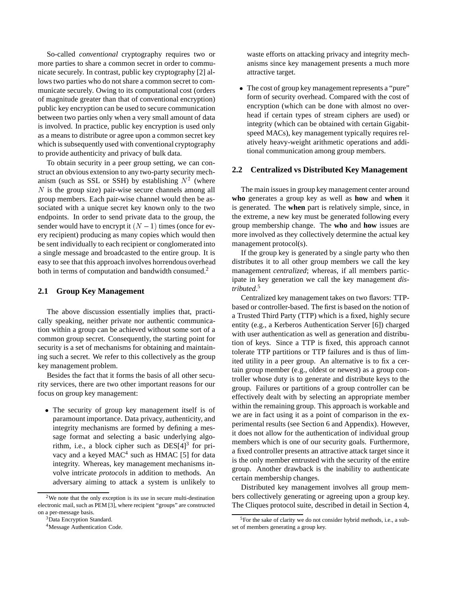So-called *conventional* cryptography requires two or more parties to share a common secret in order to communicate securely. In contrast, public key cryptography [2] allows two parties who do not share a common secret to communicate securely. Owing to its computational cost (orders of magnitude greater than that of conventional encryption) public key encryption can be used to secure communication between two parties only when a very small amount of data is involved. In practice, public key encryption is used only as a means to distribute or agree upon a common secret key which is subsequently used with conventional cryptography to provide authenticity and privacy of bulk data.

To obtain security in a peer group setting, we can construct an obvious extension to any two-party security mechanism (such as SSL or SSH) by establishing  $N^2$  (where  $N$  is the group size) pair-wise secure channels among all group members. Each pair-wise channel would then be associated with a unique secret key known only to the two endpoints. In order to send private data to the group, the sender would have to encrypt it  $(N - 1)$  times (once for every recipient) producing as many copies which would then be sent individually to each recipient or conglomerated into a single message and broadcasted to the entire group. It is easy to see that this approach involves horrendous overhead both in terms of computation and bandwidth consumed.<sup>2</sup>

#### **2.1 Group Key Management**

The above discussion essentially implies that, practically speaking, neither private nor authentic communication within a group can be achieved without some sort of a common group secret. Consequently, the starting point for security is a set of mechanisms for obtaining and maintaining such a secret. We refer to this collectively as the group key management problem.

Besides the fact that it forms the basis of all other security services, there are two other important reasons for our focus on group key management:

 The security of group key management itself is of paramount importance. Data privacy, authenticity, and integrity mechanisms are formed by defining a message format and selecting a basic underlying algorithm, i.e., a block cipher such as  $DES[4]$ <sup>3</sup> for privacy and a keyed  $MAC<sup>4</sup>$  such as HMAC [5] for data integrity. Whereas, key management mechanisms involve intricate *protocols* in addition to methods. An adversary aiming to attack a system is unlikely to

waste efforts on attacking privacy and integrity mechanisms since key management presents a much more attractive target.

• The cost of group key management represents a "pure" form of security overhead. Compared with the cost of encryption (which can be done with almost no overhead if certain types of stream ciphers are used) or integrity (which can be obtained with certain Gigabitspeed MACs), key management typically requires relatively heavy-weight arithmetic operations and additional communication among group members.

#### **2.2 Centralized vs Distributed Key Management**

The main issues in group key management center around **who** generates a group key as well as **how** and **when** it is generated. The **when** part is relatively simple, since, in the extreme, a new key must be generated following every group membership change. The **who** and **how** issues are more involved as they collectively determine the actual key management protocol(s).

If the group key is generated by a single party who then distributes it to all other group members we call the key management *centralized*; whereas, if all members participate in key generation we call the key management *distributed*. 5

Centralized key management takes on two flavors: TTPbased or controller-based. The first is based on the notion of a Trusted Third Party (TTP) which is a fixed, highly secure entity (e.g., a Kerberos Authentication Server [6]) charged with user authentication as well as generation and distribution of keys. Since a TTP is fixed, this approach cannot tolerate TTP partitions or TTP failures and is thus of limited utility in a peer group. An alternative is to fix a certain group member (e.g., oldest or newest) as a group controller whose duty is to generate and distribute keys to the group. Failures or partitions of a group controller can be effectively dealt with by selecting an appropriate member within the remaining group. This approach is workable and we are in fact using it as a point of comparison in the experimental results (see Section 6 and Appendix). However, it does not allow for the authentication of individual group members which is one of our security goals. Furthermore, a fixed controller presents an attractive attack target since it is the only member entrusted with the security of the entire group. Another drawback is the inability to authenticate certain membership changes.

Distributed key management involves all group members collectively generating or agreeing upon a group key. The Cliques protocol suite, described in detail in Section 4,

<sup>&</sup>lt;sup>2</sup>We note that the only exception is its use in secure multi-destination electronic mail, such as PEM [3], where recipient "groups" are constructed on a per-message basis.

<sup>&</sup>lt;sup>3</sup>Data Encryption Standard.

<sup>4</sup>Message Authentication Code.

<sup>5</sup>For the sake of clarity we do not consider hybrid methods, i.e., a subset of members generating a group key.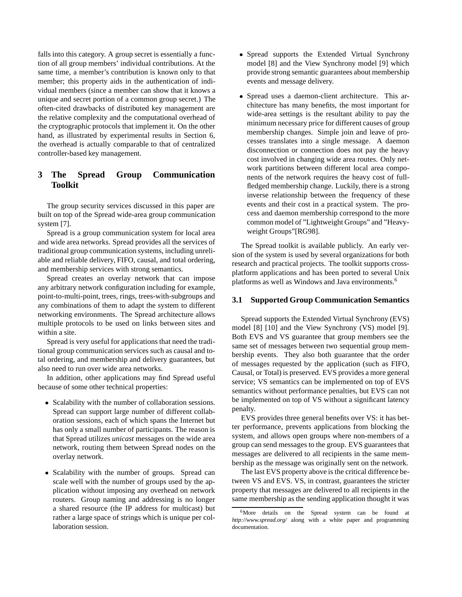falls into this category. A group secret is essentially a function of all group members' individual contributions. At the same time, a member's contribution is known only to that member; this property aids in the authentication of individual members (since a member can show that it knows a unique and secret portion of a common group secret.) The often-cited drawbacks of distributed key management are the relative complexity and the computational overhead of the cryptographic protocols that implement it. On the other hand, as illustrated by experimental results in Section 6, the overhead is actually comparable to that of centralized controller-based key management.

# **3 The Spread Group Communication Toolkit**

The group security services discussed in this paper are built on top of the Spread wide-area group communication system [7].

Spread is a group communication system for local area and wide area networks. Spread provides all the services of traditional group communication systems, including unreliable and reliable delivery, FIFO, causal, and total ordering, and membership services with strong semantics.

Spread creates an overlay network that can impose any arbitrary network configuration including for example, point-to-multi-point, trees, rings, trees-with-subgroups and any combinations of them to adapt the system to different networking environments. The Spread architecture allows multiple protocols to be used on links between sites and within a site.

Spread is very useful for applications that need the traditional group communication services such as causal and total ordering, and membership and delivery guarantees, but also need to run over wide area networks.

In addition, other applications may find Spread useful because of some other technical properties:

- Scalability with the number of collaboration sessions. Spread can support large number of different collaboration sessions, each of which spans the Internet but has only a small number of participants. The reason is that Spread utilizes *unicast* messages on the wide area network, routing them between Spread nodes on the overlay network.
- Scalability with the number of groups. Spread can scale well with the number of groups used by the application without imposing any overhead on network routers. Group naming and addressing is no longer a shared resource (the IP address for multicast) but rather a large space of strings which is unique per collaboration session.
- Spread supports the Extended Virtual Synchrony model [8] and the View Synchrony model [9] which provide strong semantic guarantees about membership events and message delivery.
- Spread uses a daemon-client architecture. This architecture has many benefits, the most important for wide-area settings is the resultant ability to pay the minimum necessary price for different causes of group membership changes. Simple join and leave of processes translates into a single message. A daemon disconnection or connection does not pay the heavy cost involved in changing wide area routes. Only network partitions between different local area components of the network requires the heavy cost of fullfledged membership change. Luckily, there is a strong inverse relationship between the frequency of these events and their cost in a practical system. The process and daemon membership correspond to the more common model of "Lightweight Groups" and "Heavyweight Groups"[RG98].

The Spread toolkit is available publicly. An early version of the system is used by several organizations for both research and practical projects. The toolkit supports crossplatform applications and has been ported to several Unix platforms as well as Windows and Java environments.<sup>6</sup>

#### **3.1 Supported Group Communication Semantics**

Spread supports the Extended Virtual Synchrony (EVS) model [8] [10] and the View Synchrony (VS) model [9]. Both EVS and VS guarantee that group members see the same set of messages between two sequential group membership events. They also both guarantee that the order of messages requested by the application (such as FIFO, Causal, or Total) is preserved. EVS provides a more general service; VS semantics can be implemented on top of EVS semantics without performance penalties, but EVS can not be implemented on top of VS without a significant latency penalty.

EVS provides three general benefits over VS: it has better performance, prevents applications from blocking the system, and allows open groups where non-members of a group can send messages to the group. EVS guarantees that messages are delivered to all recipients in the same membership as the message was originally sent on the network.

The last EVS property above is the critical difference between VS and EVS. VS, in contrast, guarantees the stricter property that messages are delivered to all recipients in the same membership as the sending application thought it was

<sup>&</sup>lt;sup>6</sup>More details on the Spread system can be found at *http://www.spread.org/* along with a white paper and programming documentation.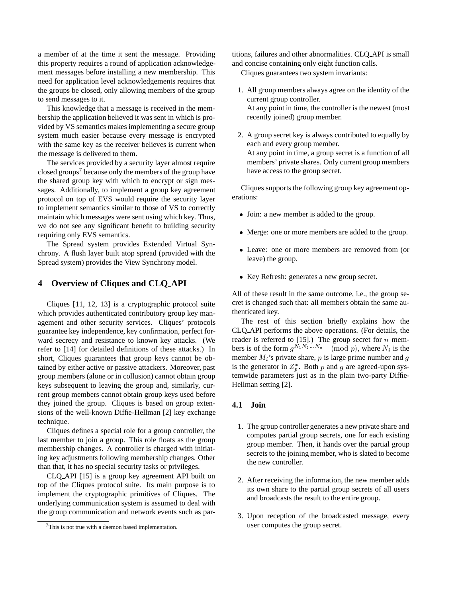a member of at the time it sent the message. Providing this property requires a round of application acknowledgement messages before installing a new membership. This need for application level acknowledgements requires that the groups be closed, only allowing members of the group to send messages to it.

This knowledge that a message is received in the membership the application believed it was sent in which is provided by VS semantics makes implementing a secure group system much easier because every message is encrypted with the same key as the receiver believes is current when the message is delivered to them.

The services provided by a security layer almost require closed groups<sup>7</sup> because only the members of the group have the shared group key with which to encrypt or sign messages. Additionally, to implement a group key agreement protocol on top of EVS would require the security layer to implement semantics similar to those of VS to correctly maintain which messages were sent using which key. Thus, we do not see any significant benefit to building security requiring only EVS semantics.

The Spread system provides Extended Virtual Synchrony. A flush layer built atop spread (provided with the Spread system) provides the View Synchrony model.

## **4 Overview of Cliques and CLQ API**

Cliques [11, 12, 13] is a cryptographic protocol suite which provides authenticated contributory group key management and other security services. Cliques' protocols guarantee key independence, key confirmation, perfect forward secrecy and resistance to known key attacks. (We refer to [14] for detailed definitions of these attacks.) In short, Cliques guarantees that group keys cannot be obtained by either active or passive attackers. Moreover, past group members (alone or in collusion) cannot obtain group keys subsequent to leaving the group and, similarly, current group members cannot obtain group keys used before they joined the group. Cliques is based on group extensions of the well-known Diffie-Hellman [2] key exchange technique.

Cliques defines a special role for a group controller, the last member to join a group. This role floats as the group membership changes. A controller is charged with initiating key adjustments following membership changes. Other than that, it has no special security tasks or privileges.

CLQ API [15] is a group key agreement API built on top of the Cliques protocol suite. Its main purpose is to implement the cryptographic primitives of Cliques. The underlying communication system is assumed to deal with the group communication and network events such as par-

titions, failures and other abnormalities. CLQ API is small and concise containing only eight function calls.

Cliques guarantees two system invariants:

- 1. All group members always agree on the identity of the current group controller. At any point in time, the controller is the newest (most recently joined) group member.
- 2. A group secret key is always contributed to equally by each and every group member. At any point in time, a group secret is a function of all members' private shares. Only current group members have access to the group secret.

Cliques supports the following group key agreement operations:

- Join: a new member is added to the group.
- Merge: one or more members are added to the group.
- Leave: one or more members are removed from (or leave) the group.
- Key Refresh: generates a new group secret.

All of these result in the same outcome, i.e., the group secret is changed such that: all members obtain the same authenticated key.

The rest of this section briefly explains how the CLQ API performs the above operations. (For details, the reader is referred to  $[15]$ .) The group secret for *n* members is of the form  $g^{N_1 N_2...N_n}$  (mod p), where  $N_i$  is the member  $M_i$ 's private share, p is large prime number and g is the generator in  $Z_n^*$ . Both p and g are agreed-upon systemwide parameters just as in the plain two-party Diffie-Hellman setting [2].

## **4.1 Join**

- 1. The group controller generates a new private share and computes partial group secrets, one for each existing group member. Then, it hands over the partial group secrets to the joining member, who is slated to become the new controller.
- 2. After receiving the information, the new member adds its own share to the partial group secrets of all users and broadcasts the result to the entire group.
- 3. Upon reception of the broadcasted message, every user computes the group secret.

 $7$ This is not true with a daemon based implementation.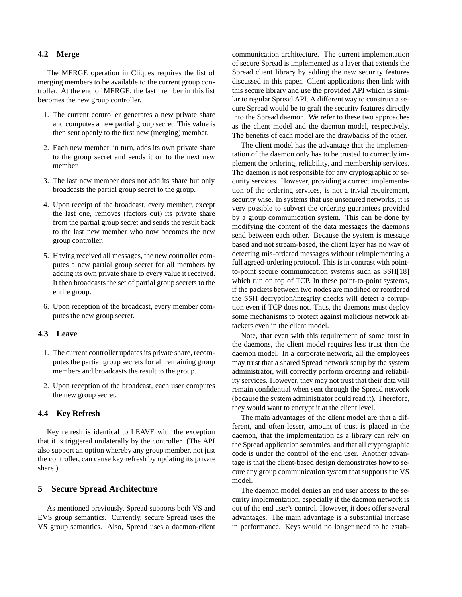## **4.2 Merge**

The MERGE operation in Cliques requires the list of merging members to be available to the current group controller. At the end of MERGE, the last member in this list becomes the new group controller.

- 1. The current controller generates a new private share and computes a new partial group secret. This value is then sent openly to the first new (merging) member.
- 2. Each new member, in turn, adds its own private share to the group secret and sends it on to the next new member.
- 3. The last new member does not add its share but only broadcasts the partial group secret to the group.
- 4. Upon receipt of the broadcast, every member, except the last one, removes (factors out) its private share from the partial group secret and sends the result back to the last new member who now becomes the new group controller.
- 5. Having received all messages, the new controller computes a new partial group secret for all members by adding its own private share to every value it received. It then broadcasts the set of partial group secrets to the entire group.
- 6. Upon reception of the broadcast, every member computes the new group secret.

## **4.3 Leave**

- 1. The current controller updates its private share, recomputes the partial group secrets for all remaining group members and broadcasts the result to the group.
- 2. Upon reception of the broadcast, each user computes the new group secret.

#### **4.4 Key Refresh**

Key refresh is identical to LEAVE with the exception that it is triggered unilaterally by the controller. (The API also support an option whereby any group member, not just the controller, can cause key refresh by updating its private share.)

## **5 Secure Spread Architecture**

As mentioned previously, Spread supports both VS and EVS group semantics. Currently, secure Spread uses the VS group semantics. Also, Spread uses a daemon-client communication architecture. The current implementation of secure Spread is implemented as a layer that extends the Spread client library by adding the new security features discussed in this paper. Client applications then link with this secure library and use the provided API which is similar to regular Spread API. A different way to construct a secure Spread would be to graft the security features directly into the Spread daemon. We refer to these two approaches as the client model and the daemon model, respectively. The benefits of each model are the drawbacks of the other.

The client model has the advantage that the implementation of the daemon only has to be trusted to correctly implement the ordering, reliability, and membership services. The daemon is not responsible for any cryptographic or security services. However, providing a correct implementation of the ordering services, is not a trivial requirement, security wise. In systems that use unsecured networks, it is very possible to subvert the ordering guarantees provided by a group communication system. This can be done by modifying the content of the data messages the daemons send between each other. Because the system is message based and not stream-based, the client layer has no way of detecting mis-ordered messages without reimplementing a full agreed-ordering protocol. This is in contrast with pointto-point secure communication systems such as SSH[18] which run on top of TCP. In these point-to-point systems, if the packets between two nodes are modified or reordered the SSH decryption/integrity checks will detect a corruption even if TCP does not. Thus, the daemons must deploy some mechanisms to protect against malicious network attackers even in the client model.

Note, that even with this requirement of some trust in the daemons, the client model requires less trust then the daemon model. In a corporate network, all the employees may trust that a shared Spread network setup by the system administrator, will correctly perform ordering and reliability services. However, they may not trust that their data will remain confidential when sent through the Spread network (because the system administrator could read it). Therefore, they would want to encrypt it at the client level.

The main advantages of the client model are that a different, and often lesser, amount of trust is placed in the daemon, that the implementation as a library can rely on the Spread application semantics, and that all cryptographic code is under the control of the end user. Another advantage is that the client-based design demonstrates how to secure any group communication system that supports the VS model.

The daemon model denies an end user access to the security implementation, especially if the daemon network is out of the end user's control. However, it does offer several advantages. The main advantage is a substantial increase in performance. Keys would no longer need to be estab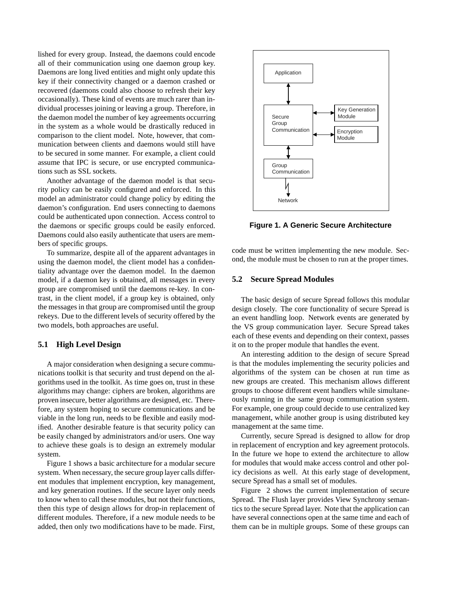lished for every group. Instead, the daemons could encode all of their communication using one daemon group key. Daemons are long lived entities and might only update this key if their connectivity changed or a daemon crashed or recovered (daemons could also choose to refresh their key occasionally). These kind of events are much rarer than individual processes joining or leaving a group. Therefore, in the daemon model the number of key agreements occurring in the system as a whole would be drastically reduced in comparison to the client model. Note, however, that communication between clients and daemons would still have to be secured in some manner. For example, a client could assume that IPC is secure, or use encrypted communications such as SSL sockets.

Another advantage of the daemon model is that security policy can be easily configured and enforced. In this model an administrator could change policy by editing the daemon's configuration. End users connecting to daemons could be authenticated upon connection. Access control to the daemons or specific groups could be easily enforced. Daemons could also easily authenticate that users are members of specific groups.

To summarize, despite all of the apparent advantages in using the daemon model, the client model has a confidentiality advantage over the daemon model. In the daemon model, if a daemon key is obtained, all messages in every group are compromised until the daemons re-key. In contrast, in the client model, if a group key is obtained, only the messages in that group are compromised until the group rekeys. Due to the different levels of security offered by the two models, both approaches are useful.

#### **5.1 High Level Design**

A major consideration when designing a secure communications toolkit is that security and trust depend on the algorithms used in the toolkit. As time goes on, trust in these algorithms may change: ciphers are broken, algorithms are proven insecure, better algorithms are designed, etc. Therefore, any system hoping to secure communications and be viable in the long run, needs to be flexible and easily modified. Another desirable feature is that security policy can be easily changed by administrators and/or users. One way to achieve these goals is to design an extremely modular system.

Figure 1 shows a basic architecture for a modular secure system. When necessary, the secure group layer calls different modules that implement encryption, key management, and key generation routines. If the secure layer only needs to know when to call these modules, but not their functions, then this type of design allows for drop-in replacement of different modules. Therefore, if a new module needs to be added, then only two modifications have to be made. First,



**Figure 1. A Generic Secure Architecture**

code must be written implementing the new module. Second, the module must be chosen to run at the proper times.

#### **5.2 Secure Spread Modules**

The basic design of secure Spread follows this modular design closely. The core functionality of secure Spread is an event handling loop. Network events are generated by the VS group communication layer. Secure Spread takes each of these events and depending on their context, passes it on to the proper module that handles the event.

An interesting addition to the design of secure Spread is that the modules implementing the security policies and algorithms of the system can be chosen at run time as new groups are created. This mechanism allows different groups to choose different event handlers while simultaneously running in the same group communication system. For example, one group could decide to use centralized key management, while another group is using distributed key management at the same time.

Currently, secure Spread is designed to allow for drop in replacement of encryption and key agreement protocols. In the future we hope to extend the architecture to allow for modules that would make access control and other policy decisions as well. At this early stage of development, secure Spread has a small set of modules.

Figure 2 shows the current implementation of secure Spread. The Flush layer provides View Synchrony semantics to the secure Spread layer. Note that the application can have several connections open at the same time and each of them can be in multiple groups. Some of these groups can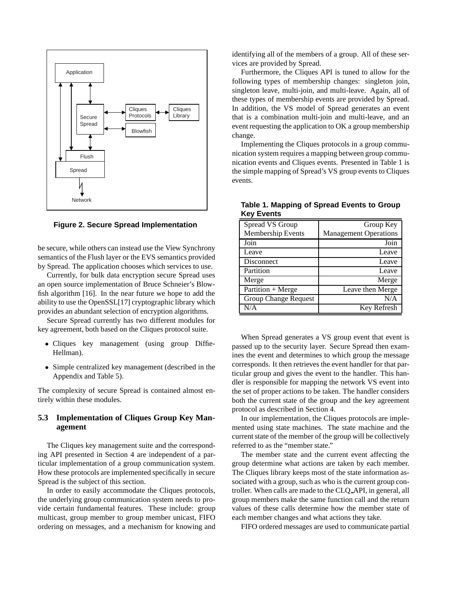

**Figure 2. Secure Spread Implementation**

be secure, while others can instead use the View Synchrony semantics of the Flush layer or the EVS semantics provided by Spread. The application chooses which services to use.

Currently, for bulk data encryption secure Spread uses an open source implementation of Bruce Schneier's Blowfish algorithm [16]. In the near future we hope to add the ability to use the OpenSSL[17] cryptographic library which provides an abundant selection of encryption algorithms.

Secure Spread currently has two different modules for key agreement, both based on the Cliques protocol suite.

- Cliques key management (using group Diffie-Hellman).
- Simple centralized key management (described in the Appendix and Table 5).

The complexity of secure Spread is contained almost entirely within these modules.

## **5.3 Implementation of Cliques Group Key Management**

The Cliques key management suite and the corresponding API presented in Section 4 are independent of a particular implementation of a group communication system. How these protocols are implemented specifically in secure Spread is the subject of this section.

In order to easily accommodate the Cliques protocols, the underlying group communication system needs to provide certain fundamental features. These include: group multicast, group member to group member unicast, FIFO ordering on messages, and a mechanism for knowing and identifying all of the members of a group. All of these services are provided by Spread.

Furthermore, the Cliques API is tuned to allow for the following types of membership changes: singleton join, singleton leave, multi-join, and multi-leave. Again, all of these types of membership events are provided by Spread. In addition, the VS model of Spread generates an event that is a combination multi-join and multi-leave, and an event requesting the application to OK a group membership change.

Implementing the Cliques protocols in a group communication system requires a mapping between group communication events and Cliques events. Presented in Table 1 is the simple mapping of Spread's VS group events to Cliques events.

**Table 1. Mapping of Spread Events to Group Key Events**

| Spread VS Group             | Group Key                    |
|-----------------------------|------------------------------|
| <b>Membership Events</b>    | <b>Management Operations</b> |
| Join                        | Join                         |
| Leave                       | Leave                        |
| Disconnect                  | Leave                        |
| Partition                   | Leave                        |
| Merge                       | Merge                        |
| $Partition + Merge$         | Leave then Merge             |
| <b>Group Change Request</b> | N/A                          |
| N/A                         | Key Refresh                  |
|                             |                              |

When Spread generates a VS group event that event is passed up to the security layer. Secure Spread then examines the event and determines to which group the message corresponds. It then retrieves the event handler for that particular group and gives the event to the handler. This handler is responsible for mapping the network VS event into the set of proper actions to be taken. The handler considers both the current state of the group and the key agreement protocol as described in Section 4.

In our implementation, the Cliques protocols are implemented using state machines. The state machine and the current state of the member of the group will be collectively referred to as the "member state."

The member state and the current event affecting the group determine what actions are taken by each member. The Cliques library keeps most of the state information associated with a group, such as who is the current group controller. When calls are made to the CLQ API, in general, all group members make the same function call and the return values of these calls determine how the member state of each member changes and what actions they take.

FIFO ordered messages are used to communicate partial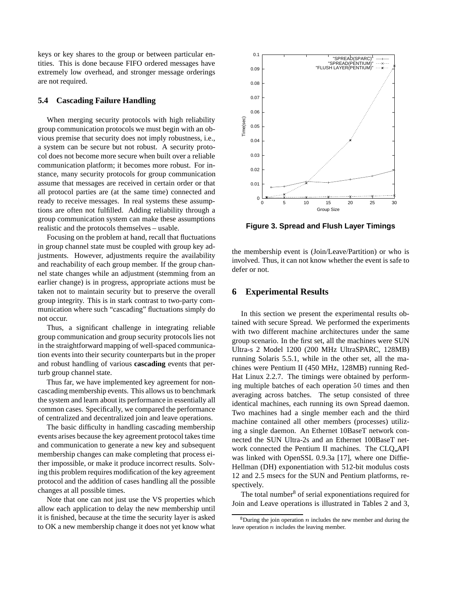keys or key shares to the group or between particular entities. This is done because FIFO ordered messages have extremely low overhead, and stronger message orderings are not required.

#### **5.4 Cascading Failure Handling**

When merging security protocols with high reliability group communication protocols we must begin with an obvious premise that security does not imply robustness, i.e., a system can be secure but not robust. A security protocol does not become more secure when built over a reliable communication platform; it becomes more robust. For instance, many security protocols for group communication assume that messages are received in certain order or that all protocol parties are (at the same time) connected and ready to receive messages. In real systems these assumptions are often not fulfilled. Adding reliability through a group communication system can make these assumptions realistic and the protocols themselves – usable.

Focusing on the problem at hand, recall that fluctuations in group channel state must be coupled with group key adjustments. However, adjustments require the availability and reachability of each group member. If the group channel state changes while an adjustment (stemming from an earlier change) is in progress, appropriate actions must be taken not to maintain security but to preserve the overall group integrity. This is in stark contrast to two-party communication where such "cascading" fluctuations simply do not occur.

Thus, a significant challenge in integrating reliable group communication and group security protocols lies not in the straightforward mapping of well-spaced communication events into their security counterparts but in the proper and robust handling of various **cascading** events that perturb group channel state.

Thus far, we have implemented key agreement for noncascading membership events. This allows us to benchmark the system and learn about its performance in essentially all common cases. Specifically, we compared the performance of centralized and decentralized join and leave operations.

The basic difficulty in handling cascading membership events arises because the key agreement protocol takes time and communication to generate a new key and subsequent membership changes can make completing that process either impossible, or make it produce incorrect results. Solving this problem requires modification of the key agreement protocol and the addition of cases handling all the possible changes at all possible times.

Note that one can not just use the VS properties which allow each application to delay the new membership until it is finished, because at the time the security layer is asked to OK a new membership change it does not yet know what



**Figure 3. Spread and Flush Layer Timings**

the membership event is (Join/Leave/Partition) or who is involved. Thus, it can not know whether the event is safe to defer or not.

#### **6 Experimental Results**

In this section we present the experimental results obtained with secure Spread. We performed the experiments with two different machine architectures under the same group scenario. In the first set, all the machines were SUN Ultra-s 2 Model 1200 (200 MHz UltraSPARC, 128MB) running Solaris 5.5.1, while in the other set, all the machines were Pentium II (450 MHz, 128MB) running Red-Hat Linux 2.2.7. The timings were obtained by performing multiple batches of each operation <sup>50</sup> times and then averaging across batches. The setup consisted of three identical machines, each running its own Spread daemon. Two machines had a single member each and the third machine contained all other members (processes) utilizing a single daemon. An Ethernet 10BaseT network connected the SUN Ultra-2s and an Ethernet 100BaseT network connected the Pentium II machines. The CLQ API was linked with OpenSSL 0.9.3a [17], where one Diffie-Hellman (DH) exponentiation with 512-bit modulus costs 12 and 2.5 msecs for the SUN and Pentium platforms, respectively.

The total number<sup>8</sup> of serial exponentiations required for Join and Leave operations is illustrated in Tables 2 and 3,

<sup>&</sup>lt;sup>8</sup>During the join operation *n* includes the new member and during the leave operation  $n$  includes the leaving member.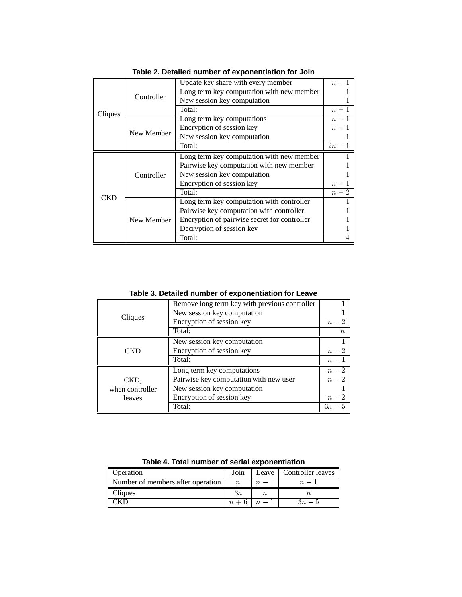|                                     |            | Update key share with every member           | $n-1$  |
|-------------------------------------|------------|----------------------------------------------|--------|
| Controller<br>Cliques<br>New Member |            | Long term key computation with new member    |        |
|                                     |            | New session key computation                  |        |
|                                     |            | Total:                                       | $n+1$  |
|                                     |            | Long term key computations                   | $n-1$  |
|                                     |            | Encryption of session key                    | $n-1$  |
|                                     |            | New session key computation                  |        |
|                                     |            | Total:                                       | $2n-1$ |
| <b>CKD</b>                          |            | Long term key computation with new member    |        |
|                                     | Controller | Pairwise key computation with new member     |        |
|                                     |            | New session key computation                  |        |
|                                     |            | Encryption of session key                    | $n-1$  |
|                                     |            | Total:                                       | $n+2$  |
|                                     | New Member | Long term key computation with controller    |        |
|                                     |            | Pairwise key computation with controller     |        |
|                                     |            | Encryption of pairwise secret for controller |        |
|                                     |            | Decryption of session key                    |        |
|                                     |            | Total:                                       |        |

**Table 2. Detailed number of exponentiation for Join**

**Table 3. Detailed number of exponentiation for Leave**

|                 | Remove long term key with previous controller |                  |  |
|-----------------|-----------------------------------------------|------------------|--|
|                 | New session key computation                   |                  |  |
| Cliques         | Encryption of session key                     | $n-2$            |  |
|                 | Total:                                        | $\boldsymbol{n}$ |  |
|                 | New session key computation                   |                  |  |
| <b>CKD</b>      | Encryption of session key                     | $n-2$            |  |
|                 | Total:                                        | $n-1$            |  |
|                 | Long term key computations                    | $n-2$            |  |
| CKD.            | Pairwise key computation with new user        | $n-2$            |  |
| when controller | New session key computation                   |                  |  |
| leaves          | Encryption of session key                     | $n-2$            |  |
|                 | Total:                                        | $3n-5$           |  |

**Table 4. Total number of serial exponentiation**

| Operation                         | Join  | Leave   Controller leaves |
|-----------------------------------|-------|---------------------------|
| Number of members after operation |       |                           |
| Cliaues                           | 3n    |                           |
|                                   | $n -$ |                           |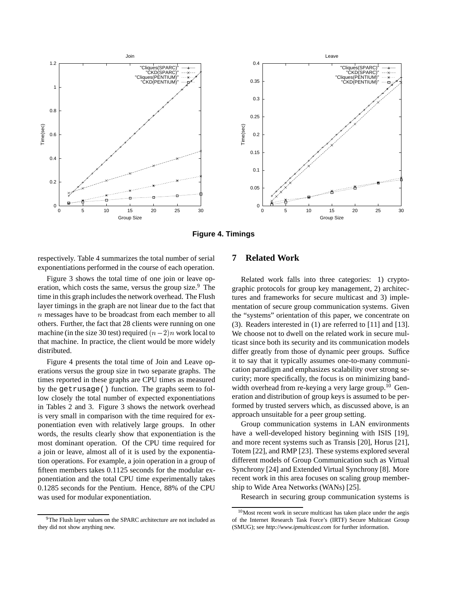

**Figure 4. Timings**

respectively. Table 4 summarizes the total number of serial exponentiations performed in the course of each operation.

Figure 3 shows the total time of one join or leave operation, which costs the same, versus the group size.<sup>9</sup> The time in this graph includes the network overhead. The Flush layer timings in the graph are not linear due to the fact that  $n$  messages have to be broadcast from each member to all others. Further, the fact that 28 clients were running on one machine (in the size 30 test) required  $(n-2)n$  work local to that machine. In practice, the client would be more widely distributed.

Figure 4 presents the total time of Join and Leave operations versus the group size in two separate graphs. The times reported in these graphs are CPU times as measured by the getrusage() function. The graphs seem to follow closely the total number of expected exponentiations in Tables 2 and 3. Figure 3 shows the network overhead is very small in comparison with the time required for exponentiation even with relatively large groups. In other words, the results clearly show that exponentiation is the most dominant operation. Of the CPU time required for a join or leave, almost all of it is used by the exponentiation operations. For example, a join operation in a group of fifteen members takes 0.1125 seconds for the modular exponentiation and the total CPU time experimentally takes 0.1285 seconds for the Pentium. Hence, 88% of the CPU was used for modular exponentiation.

#### <sup>9</sup>The Flush layer values on the SPARC architecture are not included as they did not show anything new.

## **7 Related Work**

Related work falls into three categories: 1) cryptographic protocols for group key management, 2) architectures and frameworks for secure multicast and 3) implementation of secure group communication systems. Given the "systems" orientation of this paper, we concentrate on (3). Readers interested in (1) are referred to [11] and [13]. We choose not to dwell on the related work in secure multicast since both its security and its communication models differ greatly from those of dynamic peer groups. Suffice it to say that it typically assumes one-to-many communication paradigm and emphasizes scalability over strong security; more specifically, the focus is on minimizing bandwidth overhead from re-keying a very large group.<sup>10</sup> Generation and distribution of group keys is assumed to be performed by trusted servers which, as discussed above, is an approach unsuitable for a peer group setting.

Group communication systems in LAN environments have a well-developed history beginning with ISIS [19], and more recent systems such as Transis [20], Horus [21], Totem [22], and RMP [23]. These systems explored several different models of Group Communication such as Virtual Synchrony [24] and Extended Virtual Synchrony [8]. More recent work in this area focuses on scaling group membership to Wide Area Networks (WANs) [25].

Research in securing group communication systems is

<sup>10</sup>Most recent work in secure multicast has taken place under the aegis of the Internet Research Task Force's (IRTF) Secure Multicast Group (SMUG); see *http://www.ipmulticast.com* for further information.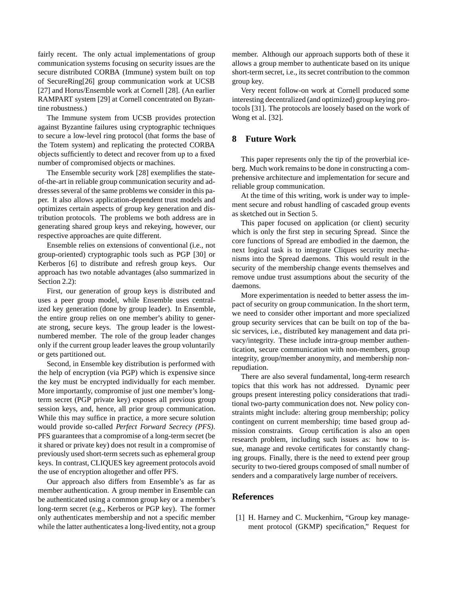fairly recent. The only actual implementations of group communication systems focusing on security issues are the secure distributed CORBA (Immune) system built on top of SecureRing[26] group communication work at UCSB [27] and Horus/Ensemble work at Cornell [28]. (An earlier RAMPART system [29] at Cornell concentrated on Byzantine robustness.)

The Immune system from UCSB provides protection against Byzantine failures using cryptographic techniques to secure a low-level ring protocol (that forms the base of the Totem system) and replicating the protected CORBA objects sufficiently to detect and recover from up to a fixed number of compromised objects or machines.

The Ensemble security work [28] exemplifies the stateof-the-art in reliable group communication security and addresses several of the same problems we consider in this paper. It also allows application-dependent trust models and optimizes certain aspects of group key generation and distribution protocols. The problems we both address are in generating shared group keys and rekeying, however, our respective approaches are quite different.

Ensemble relies on extensions of conventional (i.e., not group-oriented) cryptographic tools such as PGP [30] or Kerberos [6] to distribute and refresh group keys. Our approach has two notable advantages (also summarized in Section 2.2):

First, our generation of group keys is distributed and uses a peer group model, while Ensemble uses centralized key generation (done by group leader). In Ensemble, the entire group relies on one member's ability to generate strong, secure keys. The group leader is the lowestnumbered member. The role of the group leader changes only if the current group leader leaves the group voluntarily or gets partitioned out.

Second, in Ensemble key distribution is performed with the help of encryption (via PGP) which is expensive since the key must be encrypted individually for each member. More importantly, compromise of just one member's longterm secret (PGP private key) exposes all previous group session keys, and, hence, all prior group communication. While this may suffice in practice, a more secure solution would provide so-called *Perfect Forward Secrecy (PFS)*. PFS guarantees that a compromise of a long-term secret (be it shared or private key) does not result in a compromise of previously used short-term secrets such as ephemeral group keys. In contrast, CLIQUES key agreement protocols avoid the use of encryption altogether and offer PFS.

Our approach also differs from Ensemble's as far as member authentication. A group member in Ensemble can be authenticated using a common group key or a member's long-term secret (e.g., Kerberos or PGP key). The former only authenticates membership and not a specific member while the latter authenticates a long-lived entity, not a group

member. Although our approach supports both of these it allows a group member to authenticate based on its unique short-term secret, i.e., its secret contribution to the common group key.

Very recent follow-on work at Cornell produced some interesting decentralized (and optimized) group keying protocols [31]. The protocols are loosely based on the work of Wong et al. [32].

## **8 Future Work**

This paper represents only the tip of the proverbial iceberg. Much work remains to be done in constructing a comprehensive architecture and implementation for secure and reliable group communication.

At the time of this writing, work is under way to implement secure and robust handling of cascaded group events as sketched out in Section 5.

This paper focused on application (or client) security which is only the first step in securing Spread. Since the core functions of Spread are embodied in the daemon, the next logical task is to integrate Cliques security mechanisms into the Spread daemons. This would result in the security of the membership change events themselves and remove undue trust assumptions about the security of the daemons.

More experimentation is needed to better assess the impact of security on group communication. In the short term, we need to consider other important and more specialized group security services that can be built on top of the basic services, i.e., distributed key management and data privacy/integrity. These include intra-group member authentication, secure communication with non-members, group integrity, group/member anonymity, and membership nonrepudiation.

There are also several fundamental, long-term research topics that this work has not addressed. Dynamic peer groups present interesting policy considerations that traditional two-party communication does not. New policy constraints might include: altering group membership; policy contingent on current membership; time based group admission constraints. Group certification is also an open research problem, including such issues as: how to issue, manage and revoke certificates for constantly changing groups. Finally, there is the need to extend peer group security to two-tiered groups composed of small number of senders and a comparatively large number of receivers.

## **References**

[1] H. Harney and C. Muckenhirn, "Group key management protocol (GKMP) specification," Request for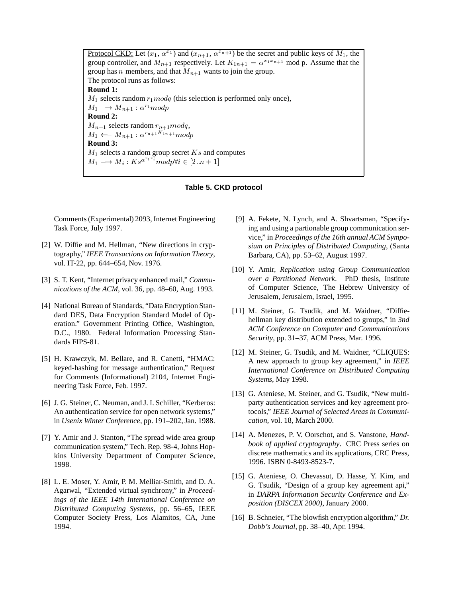Protocol CKD: Let  $(x_1, \alpha^{x_1})$  and  $(x_{n+1}, \alpha^{x_{n+1}})$  be the secret and public keys of  $M_1$ , the group controller, and  $M_{n+1}$  respectively. Let  $K_{1n+1} = \alpha^{x_1 x_{n+1}}$  mod p. Assume that the group has *n* members, and that  $M_{n+1}$  wants to join the group. The protocol runs as follows: **Round 1:**  $M_1$  selects random  $r_1$  modq (this selection is performed only once),  $M_1 \longrightarrow M_{n+1} : \alpha^{r_1} \text{mod} p$ **Round 2:**  $M_{n+1}$  selects random  $r_{n+1}$  modq,  $M_1 \leftarrow M_{n+1} : \alpha^{r_{n+1}K_{1n+1}}mod p$ **Round 3:**  $M_1$  selects a random group secret  $Ks$  and computes  $M_1 \longrightarrow M_i : Ks^{\alpha^{r_1 r_i}} \nmod p \forall i \in [2..n+1]$ 

## **Table 5. CKD protocol**

Comments (Experimental) 2093, Internet Engineering Task Force, July 1997.

- [2] W. Diffie and M. Hellman, "New directions in cryptography," *IEEE Transactions on Information Theory*, vol. IT-22, pp. 644–654, Nov. 1976.
- [3] S. T. Kent, "Internet privacy enhanced mail," *Communications of the ACM*, vol. 36, pp. 48–60, Aug. 1993.
- [4] National Bureau of Standards, "Data Encryption Standard DES, Data Encryption Standard Model of Operation." Government Printing Office, Washington, D.C., 1980. Federal Information Processing Standards FIPS-81.
- [5] H. Krawczyk, M. Bellare, and R. Canetti, "HMAC: keyed-hashing for message authentication," Request for Comments (Informational) 2104, Internet Engineering Task Force, Feb. 1997.
- [6] J. G. Steiner, C. Neuman, and J. I. Schiller, "Kerberos: An authentication service for open network systems," in *Usenix Winter Conference*, pp. 191–202, Jan. 1988.
- [7] Y. Amir and J. Stanton, "The spread wide area group communication system," Tech. Rep. 98-4, Johns Hopkins University Department of Computer Science, 1998.
- [8] L. E. Moser, Y. Amir, P. M. Melliar-Smith, and D. A. Agarwal, "Extended virtual synchrony," in *Proceedings of the IEEE 14th International Conference on Distributed Computing Systems*, pp. 56–65, IEEE Computer Society Press, Los Alamitos, CA, June 1994.
- [9] A. Fekete, N. Lynch, and A. Shvartsman, "Specifying and using a partionable group communication service," in *Proceedings of the 16th annual ACM Symposium on Principles of Distributed Computing*, (Santa Barbara, CA), pp. 53–62, August 1997.
- [10] Y. Amir, *Replication using Group Communication over a Partitioned Network*. PhD thesis, Institute of Computer Science, The Hebrew University of Jerusalem, Jerusalem, Israel, 1995.
- [11] M. Steiner, G. Tsudik, and M. Waidner, "Diffiehellman key distribution extended to groups," in *3nd ACM Conference on Computer and Communications Security*, pp. 31–37, ACM Press, Mar. 1996.
- [12] M. Steiner, G. Tsudik, and M. Waidner, "CLIQUES: A new approach to group key agreement," in *IEEE International Conference on Distributed Computing Systems*, May 1998.
- [13] G. Ateniese, M. Steiner, and G. Tsudik, "New multiparty authentication services and key agreement protocols," *IEEE Journal of Selected Areas in Communication*, vol. 18, March 2000.
- [14] A. Menezes, P. V. Oorschot, and S. Vanstone, *Handbook of applied cryptography*. CRC Press series on discrete mathematics and its applications, CRC Press, 1996. ISBN 0-8493-8523-7.
- [15] G. Ateniese, O. Chevassut, D. Hasse, Y. Kim, and G. Tsudik, "Design of a group key agreement api," in *DARPA Information Security Conference and Exposition (DISCEX 2000)*, January 2000.
- [16] B. Schneier, "The blowfish encryption algorithm," *Dr. Dobb's Journal*, pp. 38–40, Apr. 1994.